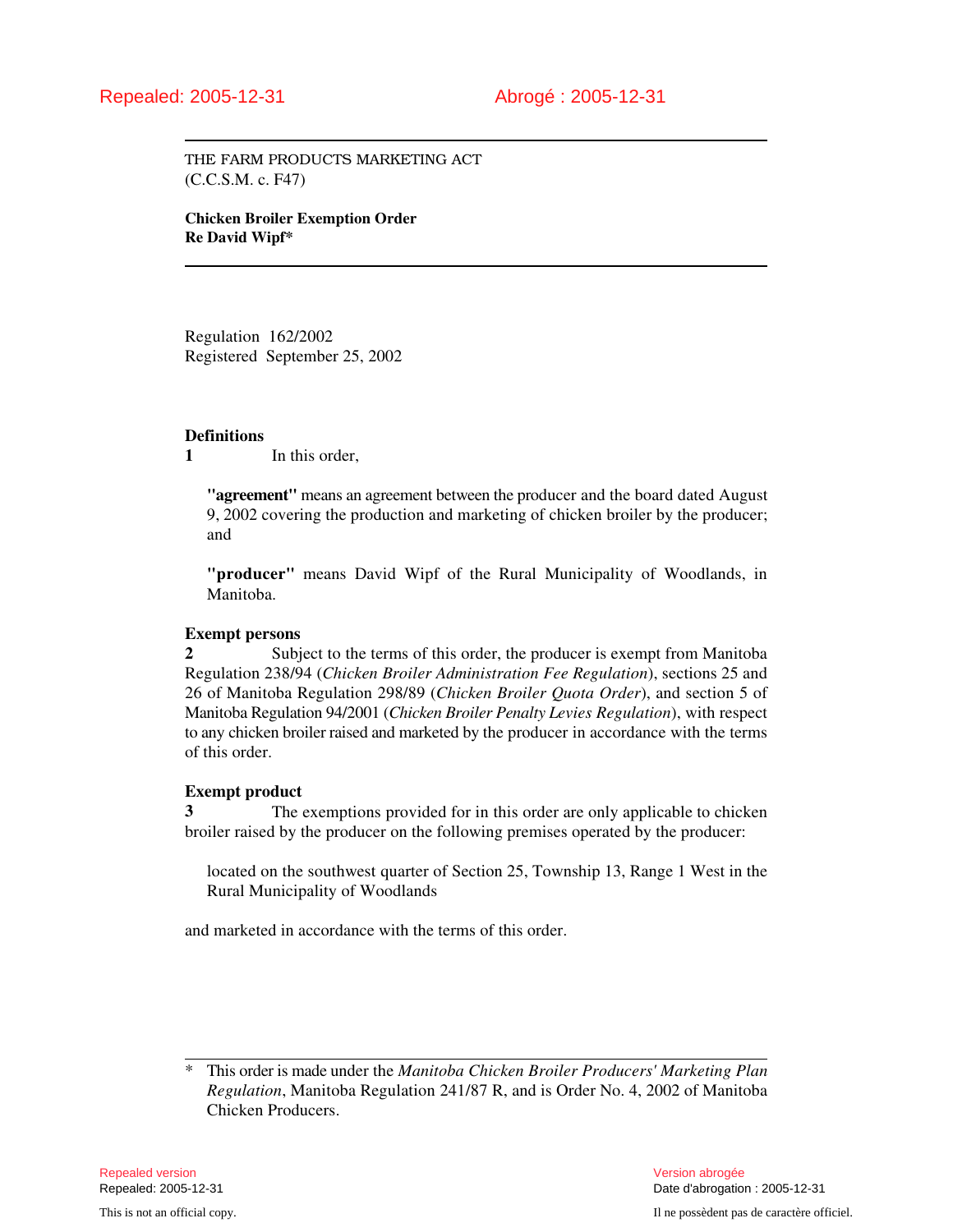THE FARM PRODUCTS MARKETING ACT (C.C.S.M. c. F47)

**Chicken Broiler Exemption Order Re David Wipf\***

Regulation 162/2002 Registered September 25, 2002

#### **Definitions**

**1** In this order,

**"agreement"** means an agreement between the producer and the board dated August 9, 2002 covering the production and marketing of chicken broiler by the producer; and

**"producer"** means David Wipf of the Rural Municipality of Woodlands, in Manitoba.

#### **Exempt persons**

**2** Subject to the terms of this order, the producer is exempt from Manitoba Regulation 238/94 (*Chicken Broiler Administration Fee Regulation*), sections 25 and 26 of Manitoba Regulation 298/89 (*Chicken Broiler Quota Order*), and section 5 of Manitoba Regulation 94/2001 (*Chicken Broiler Penalty Levies Regulation*), with respect to any chicken broiler raised and marketed by the producer in accordance with the terms of this order.

#### **Exempt product**

**3** The exemptions provided for in this order are only applicable to chicken broiler raised by the producer on the following premises operated by the producer:

located on the southwest quarter of Section 25, Township 13, Range 1 West in the Rural Municipality of Woodlands

and marketed in accordance with the terms of this order.

<sup>\*</sup> This order is made under the *Manitoba Chicken Broiler Producers' Marketing Plan Regulation*, Manitoba Regulation 241/87 R, and is Order No. 4, 2002 of Manitoba Chicken Producers.